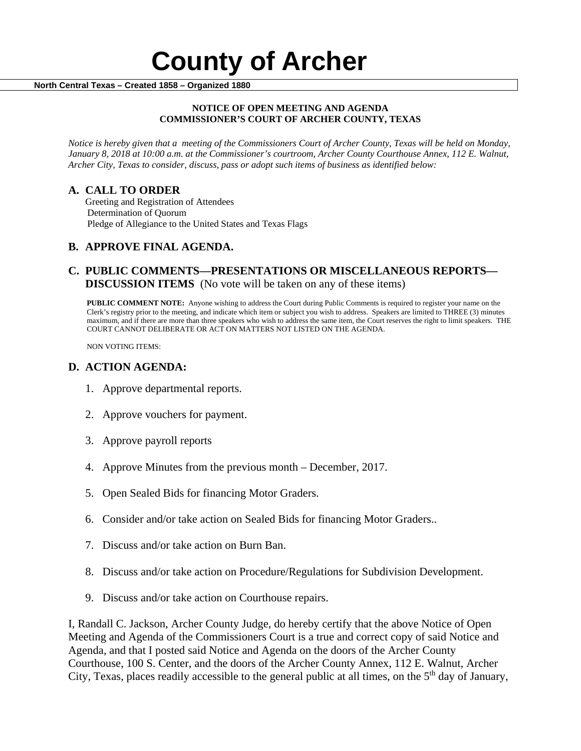#### **NOTICE OF OPEN MEETING AND AGENDA COMMISSIONER'S COURT OF ARCHER COUNTY, TEXAS**

*Notice is hereby given that a meeting of the Commissioners Court of Archer County, Texas will be held on Monday, January 8, 2018 at 10:00 a.m. at the Commissioner's courtroom, Archer County Courthouse Annex, 112 E. Walnut, Archer City, Texas to consider, discuss, pass or adopt such items of business as identified below:*

**A. CALL TO ORDER** Greeting and Registration of Attendees Determination of Quorum Pledge of Allegiance to the United States and Texas Flags

# **B. APPROVE FINAL AGENDA.**

# **C. PUBLIC COMMENTS—PRESENTATIONS OR MISCELLANEOUS REPORTS— DISCUSSION ITEMS** (No vote will be taken on any of these items)

**PUBLIC COMMENT NOTE:** Anyone wishing to address the Court during Public Comments is required to register your name on the Clerk's registry prior to the meeting, and indicate which item or subject you wish to address. Speakers are limited to THREE (3) minutes maximum, and if there are more than three speakers who wish to address the same item, the Court reserves the right to limit speakers. THE COURT CANNOT DELIBERATE OR ACT ON MATTERS NOT LISTED ON THE AGENDA.

NON VOTING ITEMS:

### **D. ACTION AGENDA:**

- 1. Approve departmental reports.
- 2. Approve vouchers for payment.
- 3. Approve payroll reports
- 4. Approve Minutes from the previous month December, 2017.
- 5. Open Sealed Bids for financing Motor Graders.
- 6. Consider and/or take action on Sealed Bids for financing Motor Graders..
- 7. Discuss and/or take action on Burn Ban.
- 8. Discuss and/or take action on Procedure/Regulations for Subdivision Development.
- 9. Discuss and/or take action on Courthouse repairs.

I, Randall C. Jackson, Archer County Judge, do hereby certify that the above Notice of Open Meeting and Agenda of the Commissioners Court is a true and correct copy of said Notice and Agenda, and that I posted said Notice and Agenda on the doors of the Archer County Courthouse, 100 S. Center, and the doors of the Archer County Annex, 112 E. Walnut, Archer City, Texas, places readily accessible to the general public at all times, on the  $5<sup>th</sup>$  day of January,